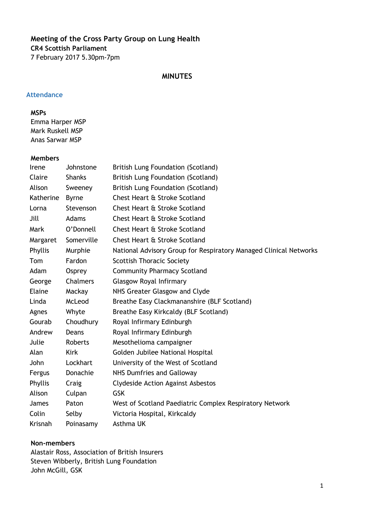# **Meeting of the Cross Party Group on Lung Health CR4 Scottish Parliament** 7 February 2017 5.30pm-7pm

#### **MINUTES**

#### **Attendance**

#### **MSPs**

Emma Harper MSP Mark Ruskell MSP Anas Sarwar MSP

#### **Members**

| Irene     | Johnstone     | <b>British Lung Foundation (Scotland)</b>                         |
|-----------|---------------|-------------------------------------------------------------------|
| Claire    | <b>Shanks</b> | <b>British Lung Foundation (Scotland)</b>                         |
| Alison    | Sweeney       | <b>British Lung Foundation (Scotland)</b>                         |
| Katherine | <b>Byrne</b>  | Chest Heart & Stroke Scotland                                     |
| Lorna     | Stevenson     | Chest Heart & Stroke Scotland                                     |
| Jill      | Adams         | Chest Heart & Stroke Scotland                                     |
| Mark      | O'Donnell     | Chest Heart & Stroke Scotland                                     |
| Margaret  | Somerville    | Chest Heart & Stroke Scotland                                     |
| Phyllis   | Murphie       | National Advisory Group for Respiratory Managed Clinical Networks |
| Tom       | Fardon        | <b>Scottish Thoracic Society</b>                                  |
| Adam      | Osprey        | <b>Community Pharmacy Scotland</b>                                |
| George    | Chalmers      | <b>Glasgow Royal Infirmary</b>                                    |
| Elaine    | Mackay        | NHS Greater Glasgow and Clyde                                     |
| Linda     | McLeod        | Breathe Easy Clackmananshire (BLF Scotland)                       |
| Agnes     | Whyte         | Breathe Easy Kirkcaldy (BLF Scotland)                             |
| Gourab    | Choudhury     | Royal Infirmary Edinburgh                                         |
| Andrew    | Deans         | Royal Infirmary Edinburgh                                         |
| Julie     | Roberts       | Mesothelioma campaigner                                           |
| Alan      | <b>Kirk</b>   | Golden Jubilee National Hospital                                  |
| John      | Lockhart      | University of the West of Scotland                                |
| Fergus    | Donachie      | <b>NHS Dumfries and Galloway</b>                                  |
| Phyllis   | Craig         | <b>Clydeside Action Against Asbestos</b>                          |
| Alison    | Culpan        | <b>GSK</b>                                                        |
| James     | Paton         | West of Scotland Paediatric Complex Respiratory Network           |
| Colin     | Selby         | Victoria Hospital, Kirkcaldy                                      |
| Krisnah   | Poinasamy     | Asthma UK                                                         |

#### **Non-members**

Alastair Ross, Association of British Insurers Steven Wibberly, British Lung Foundation John McGill, GSK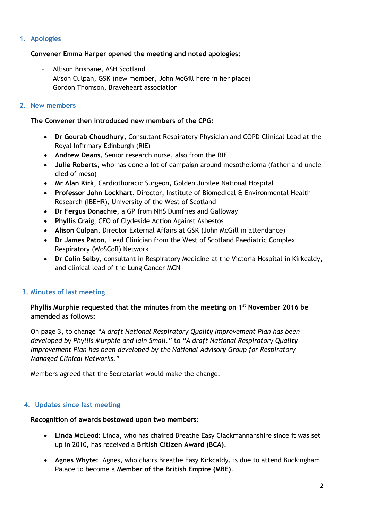### **1. Apologies**

### **Convener Emma Harper opened the meeting and noted apologies:**

- Allison Brisbane, ASH Scotland
- Alison Culpan, GSK (new member, John McGill here in her place)
- Gordon Thomson, Braveheart association

### **2. New members**

### **The Convener then introduced new members of the CPG:**

- **Dr Gourab Choudhury**, Consultant Respiratory Physician and COPD Clinical Lead at the Royal Infirmary Edinburgh (RIE)
- **Andrew Deans**, Senior research nurse, also from the RIE
- **Julie Roberts**, who has done a lot of campaign around mesothelioma (father and uncle died of meso)
- **Mr Alan Kirk**, Cardiothoracic Surgeon, Golden Jubilee National Hospital
- **Professor John Lockhart**, Director, Institute of Biomedical & Environmental Health Research (IBEHR), University of the West of Scotland
- **Dr Fergus Donachie**, a GP from NHS Dumfries and Galloway
- **Phyllis Craig**, CEO of Clydeside Action Against Asbestos
- **Alison Culpan**, Director External Affairs at GSK (John McGill in attendance)
- **Dr James Paton**, Lead Clinician from the West of Scotland Paediatric Complex Respiratory (WoSCoR) Network
- **Dr Colin Selby**, consultant in Respiratory Medicine at the Victoria Hospital in Kirkcaldy, and clinical lead of the Lung Cancer MCN

# **3. Minutes of last meeting**

### **Phyllis Murphie requested that the minutes from the meeting on 1st November 2016 be amended as follows:**

On page 3, to change *"A draft National Respiratory Quality Improvement Plan has been developed by Phyllis Murphie and Iain Small."* to *"A draft National Respiratory Quality Improvement Plan has been developed by the National Advisory Group for Respiratory Managed Clinical Networks."*

Members agreed that the Secretariat would make the change.

### **4. Updates since last meeting**

### **Recognition of awards bestowed upon two members**:

- **Linda McLeod:** Linda, who has chaired Breathe Easy Clackmannanshire since it was set up in 2010, has received a **British Citizen Award (BCA)**.
- **Agnes Whyte:** Agnes, who chairs Breathe Easy Kirkcaldy, is due to attend Buckingham Palace to become a **Member of the British Empire (MBE)**.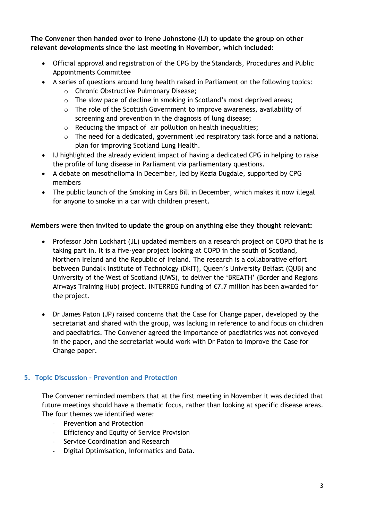**The Convener then handed over to Irene Johnstone (IJ) to update the group on other relevant developments since the last meeting in November, which included:**

- Official approval and registration of the CPG by the Standards, Procedures and Public Appointments Committee
- A series of questions around lung health raised in Parliament on the following topics:
	- o Chronic Obstructive Pulmonary Disease;
	- o The slow pace of decline in smoking in Scotland's most deprived areas;
	- $\circ$  The role of the Scottish Government to improve awareness, availability of screening and prevention in the diagnosis of lung disease;
	- $\circ$  Reducing the impact of air pollution on health inequalities;
	- $\circ$  The need for a dedicated, government led respiratory task force and a national plan for improving Scotland Lung Health.
- IJ highlighted the already evident impact of having a dedicated CPG in helping to raise the profile of lung disease in Parliament via parliamentary questions.
- A debate on mesothelioma in December, led by Kezia Dugdale, supported by CPG members
- The public launch of the Smoking in Cars Bill in December, which makes it now illegal for anyone to smoke in a car with children present.

### **Members were then invited to update the group on anything else they thought relevant:**

- Professor John Lockhart (JL) updated members on a research project on COPD that he is taking part in. It is a five-year project looking at COPD in the south of Scotland, Northern Ireland and the Republic of Ireland. The research is a collaborative effort between Dundalk Institute of Technology (DkIT), Queen's University Belfast (QUB) and University of the West of Scotland (UWS), to deliver the 'BREATH' (Border and Regions Airways Training Hub) project. INTERREG funding of €7.7 million has been awarded for the project.
- Dr James Paton (JP) raised concerns that the Case for Change paper, developed by the secretariat and shared with the group, was lacking in reference to and focus on children and paediatrics. The Convener agreed the importance of paediatrics was not conveyed in the paper, and the secretariat would work with Dr Paton to improve the Case for Change paper.

# **5. Topic Discussion – Prevention and Protection**

The Convener reminded members that at the first meeting in November it was decided that future meetings should have a thematic focus, rather than looking at specific disease areas. The four themes we identified were:

- Prevention and Protection
- Efficiency and Equity of Service Provision
- Service Coordination and Research
- Digital Optimisation, Informatics and Data.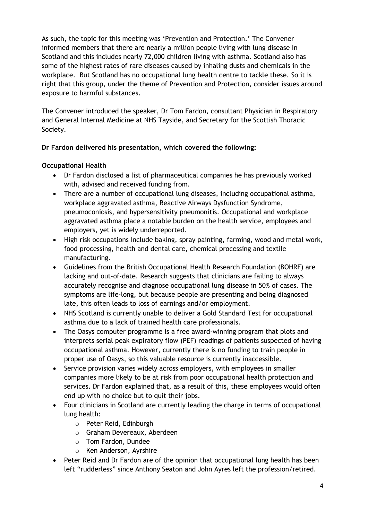As such, the topic for this meeting was 'Prevention and Protection.' The Convener informed members that there are nearly a million people living with lung disease In Scotland and this includes nearly 72,000 children living with asthma. Scotland also has some of the highest rates of rare diseases caused by inhaling dusts and chemicals in the workplace. But Scotland has no occupational lung health centre to tackle these. So it is right that this group, under the theme of Prevention and Protection, consider issues around exposure to harmful substances.

The Convener introduced the speaker, Dr Tom Fardon, consultant Physician in Respiratory and General Internal Medicine at NHS Tayside, and Secretary for the Scottish Thoracic Society.

# **Dr Fardon delivered his presentation, which covered the following:**

## **Occupational Health**

- Dr Fardon disclosed a list of pharmaceutical companies he has previously worked with, advised and received funding from.
- There are a number of occupational lung diseases, including occupational asthma, workplace aggravated asthma, Reactive Airways Dysfunction Syndrome, pneumoconiosis, and hypersensitivity pneumonitis. Occupational and workplace aggravated asthma place a notable burden on the health service, employees and employers, yet is widely underreported.
- High risk occupations include baking, spray painting, farming, wood and metal work, food processing, health and dental care, chemical processing and textile manufacturing.
- Guidelines from the British Occupational Health Research Foundation (BOHRF) are lacking and out-of-date. Research suggests that clinicians are failing to always accurately recognise and diagnose occupational lung disease in 50% of cases. The symptoms are life-long, but because people are presenting and being diagnosed late, this often leads to loss of earnings and/or employment.
- NHS Scotland is currently unable to deliver a Gold Standard Test for occupational asthma due to a lack of trained health care professionals.
- The Oasys computer programme is a free award-winning program that plots and interprets serial peak expiratory flow (PEF) readings of patients suspected of having occupational asthma. However, currently there is no funding to train people in proper use of Oasys, so this valuable resource is currently inaccessible.
- Service provision varies widely across employers, with employees in smaller companies more likely to be at risk from poor occupational health protection and services. Dr Fardon explained that, as a result of this, these employees would often end up with no choice but to quit their jobs.
- Four clinicians in Scotland are currently leading the charge in terms of occupational lung health:
	- o Peter Reid, Edinburgh
	- o Graham Devereaux, Aberdeen
	- o Tom Fardon, Dundee
	- o Ken Anderson, Ayrshire
- Peter Reid and Dr Fardon are of the opinion that occupational lung health has been left "rudderless" since Anthony Seaton and John Ayres left the profession/retired.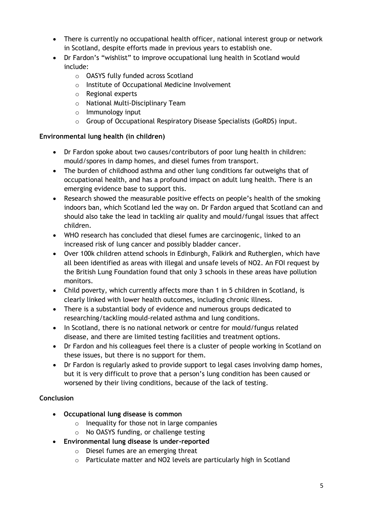- There is currently no occupational health officer, national interest group or network in Scotland, despite efforts made in previous years to establish one.
- Dr Fardon's "wishlist" to improve occupational lung health in Scotland would include:
	- o OASYS fully funded across Scotland
	- o Institute of Occupational Medicine Involvement
	- o Regional experts
	- o National Multi-Disciplinary Team
	- o Immunology input
	- o Group of Occupational Respiratory Disease Specialists (GoRDS) input.

# **Environmental lung health (in children)**

- Dr Fardon spoke about two causes/contributors of poor lung health in children: mould/spores in damp homes, and diesel fumes from transport.
- The burden of childhood asthma and other lung conditions far outweighs that of occupational health, and has a profound impact on adult lung health. There is an emerging evidence base to support this.
- Research showed the measurable positive effects on people's health of the smoking indoors ban, which Scotland led the way on. Dr Fardon argued that Scotland can and should also take the lead in tackling air quality and mould/fungal issues that affect children.
- WHO research has concluded that diesel fumes are carcinogenic, linked to an increased risk of lung cancer and possibly bladder cancer.
- Over 100k children attend schools in Edinburgh, Falkirk and Rutherglen, which have all been identified as areas with illegal and unsafe levels of NO2. An FOI request by the British Lung Foundation found that only 3 schools in these areas have pollution monitors.
- Child poverty, which currently affects more than 1 in 5 children in Scotland, is clearly linked with lower health outcomes, including chronic illness.
- There is a substantial body of evidence and numerous groups dedicated to researching/tackling mould-related asthma and lung conditions.
- In Scotland, there is no national network or centre for mould/fungus related disease, and there are limited testing facilities and treatment options.
- Dr Fardon and his colleagues feel there is a cluster of people working in Scotland on these issues, but there is no support for them.
- Dr Fardon is regularly asked to provide support to legal cases involving damp homes, but it is very difficult to prove that a person's lung condition has been caused or worsened by their living conditions, because of the lack of testing.

# **Conclusion**

- **Occupational lung disease is common** 
	- $\circ$  Inequality for those not in large companies
	- o No OASYS funding, or challenge testing
- **Environmental lung disease is under-reported**
	- o Diesel fumes are an emerging threat
	- o Particulate matter and NO2 levels are particularly high in Scotland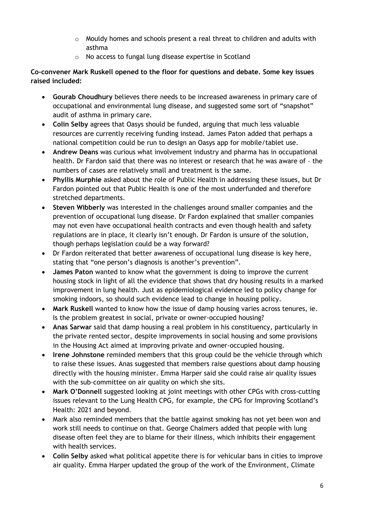- o Mouldy homes and schools present a real threat to children and adults with asthma
- o No access to fungal lung disease expertise in Scotland

**Co-convener Mark Ruskell opened to the floor for questions and debate. Some key issues raised included:**

- **Gourab Choudhury** believes there needs to be increased awareness in primary care of occupational and environmental lung disease, and suggested some sort of "snapshot" audit of asthma in primary care.
- **Colin Selby** agrees that Oasys should be funded, arguing that much less valuable resources are currently receiving funding instead. James Paton added that perhaps a national competition could be run to design an Oasys app for mobile/tablet use.
- **Andrew Deans** was curious what involvement industry and pharma has in occupational health. Dr Fardon said that there was no interest or research that he was aware of – the numbers of cases are relatively small and treatment is the same.
- **Phyllis Murphie** asked about the role of Public Health in addressing these issues, but Dr Fardon pointed out that Public Health is one of the most underfunded and therefore stretched departments.
- **Steven Wibberly** was interested in the challenges around smaller companies and the prevention of occupational lung disease. Dr Fardon explained that smaller companies may not even have occupational health contracts and even though health and safety regulations are in place, it clearly isn't enough. Dr Fardon is unsure of the solution, though perhaps legislation could be a way forward?
- Dr Fardon reiterated that better awareness of occupational lung disease is key here, stating that "one person's diagnosis is another's prevention".
- **James Paton** wanted to know what the government is doing to improve the current housing stock in light of all the evidence that shows that dry housing results in a marked improvement in lung health. Just as epidemiological evidence led to policy change for smoking indoors, so should such evidence lead to change in housing policy.
- **Mark Ruskell** wanted to know how the issue of damp housing varies across tenures, ie. Is the problem greatest in social, private or owner-occupied housing?
- **Anas Sarwar** said that damp housing a real problem in his constituency, particularly in the private rented sector, despite improvements in social housing and some provisions in the Housing Act aimed at improving private and owner-occupied housing.
- **Irene Johnstone** reminded members that this group could be the vehicle through which to raise these issues. Anas suggested that members raise questions about damp housing directly with the housing minister. Emma Harper said she could raise air quality issues with the sub-committee on air quality on which she sits.
- **Mark O'Donnell** suggested looking at joint meetings with other CPGs with cross-cutting issues relevant to the Lung Health CPG, for example, the CPG for Improving Scotland's Health: 2021 and beyond.
- Mark also reminded members that the battle against smoking has not yet been won and work still needs to continue on that. George Chalmers added that people with lung disease often feel they are to blame for their illness, which inhibits their engagement with health services.
- **Colin Selby** asked what political appetite there is for vehicular bans in cities to improve air quality. Emma Harper updated the group of the work of the Environment, Climate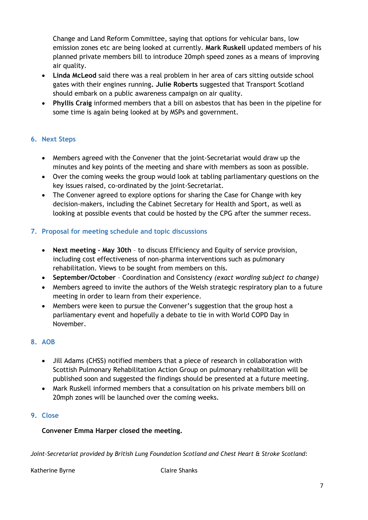Change and Land Reform Committee, saying that options for vehicular bans, low emission zones etc are being looked at currently. **Mark Ruskell** updated members of his planned private members bill to introduce 20mph speed zones as a means of improving air quality.

- **Linda McLeod** said there was a real problem in her area of cars sitting outside school gates with their engines running**. Julie Roberts** suggested that Transport Scotland should embark on a public awareness campaign on air quality.
- **Phyllis Craig** informed members that a bill on asbestos that has been in the pipeline for some time is again being looked at by MSPs and government.

## **6. Next Steps**

- Members agreed with the Convener that the joint-Secretariat would draw up the minutes and key points of the meeting and share with members as soon as possible.
- Over the coming weeks the group would look at tabling parliamentary questions on the key issues raised, co-ordinated by the joint-Secretariat.
- The Convener agreed to explore options for sharing the Case for Change with key decision-makers, including the Cabinet Secretary for Health and Sport, as well as looking at possible events that could be hosted by the CPG after the summer recess.

## **7. Proposal for meeting schedule and topic discussions**

- **Next meeting – May 30th** to discuss Efficiency and Equity of service provision, including cost effectiveness of non-pharma interventions such as pulmonary rehabilitation. Views to be sought from members on this.
- **September/October** Coordination and Consistency *(exact wording subject to change)*
- Members agreed to invite the authors of the Welsh strategic respiratory plan to a future meeting in order to learn from their experience.
- Members were keen to pursue the Convener's suggestion that the group host a parliamentary event and hopefully a debate to tie in with World COPD Day in November.

# **8. AOB**

- Jill Adams (CHSS) notified members that a piece of research in collaboration with Scottish Pulmonary Rehabilitation Action Group on pulmonary rehabilitation will be published soon and suggested the findings should be presented at a future meeting.
- Mark Ruskell informed members that a consultation on his private members bill on 20mph zones will be launched over the coming weeks.

## **9. Close**

### **Convener Emma Harper closed the meeting.**

*Joint-Secretariat provided by British Lung Foundation Scotland and Chest Heart & Stroke Scotland:*

Katherine Byrne **Claire Shanks**